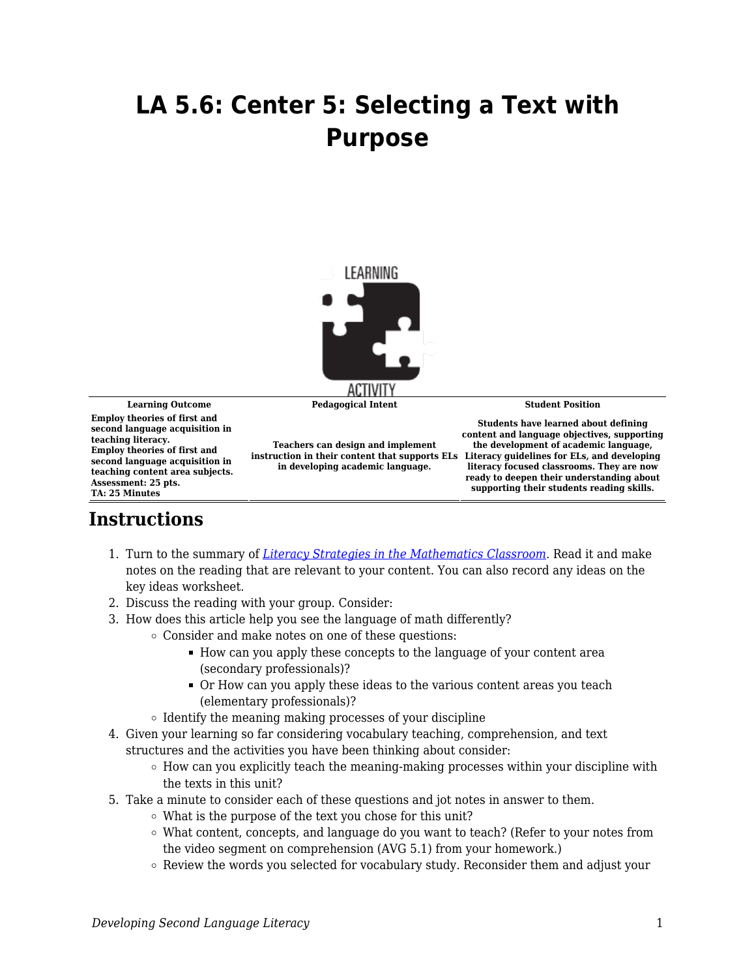## **LA 5.6: Center 5: Selecting a Text with Purpose**



**Learning Outcome Pedagogical Intent Student Position**

**Employ theories of first and second language acquisition in teaching literacy. Employ theories of first and second language acquisition in teaching content area subjects. Assessment: 25 pts. TA: 25 Minutes**

**Teachers can design and implement instruction in their content that supports ELs in developing academic language.**

**Students have learned about defining content and language objectives, supporting the development of academic language, Literacy guidelines for ELs, and developing literacy focused classrooms. They are now ready to deepen their understanding about supporting their students reading skills.**

## **Instructions**

- 1. Turn to the summary of *[Literacy Strategies in the Mathematics Classroom](https://byu.box.com/s/zqayc9atsw7d0kzsxwxembikl3xf50cw)*. Read it and make notes on the reading that are relevant to your content. You can also record any ideas on the key ideas worksheet.
- 2. Discuss the reading with your group. Consider:
- 3. How does this article help you see the language of math differently?
	- Consider and make notes on one of these questions:
		- How can you apply these concepts to the language of your content area (secondary professionals)?
		- Or How can you apply these ideas to the various content areas you teach (elementary professionals)?
		- $\circ$  Identify the meaning making processes of your discipline
- 4. Given your learning so far considering vocabulary teaching, comprehension, and text structures and the activities you have been thinking about consider:
	- $\circ$  How can you explicitly teach the meaning-making processes within your discipline with the texts in this unit?
- 5. Take a minute to consider each of these questions and jot notes in answer to them.
	- What is the purpose of the text you chose for this unit?
	- What content, concepts, and language do you want to teach? (Refer to your notes from the video segment on comprehension (AVG 5.1) from your homework.)
	- $\circ$  Review the words you selected for vocabulary study. Reconsider them and adjust your